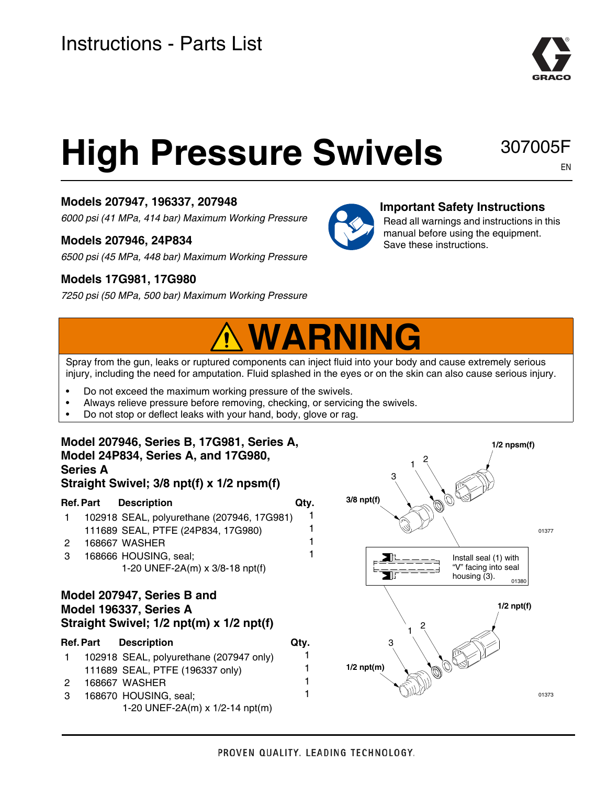

# **High Pressure Swivels**

307005F EN

## **Models 207947, 196337, 207948**

*6000 psi (41 MPa, 414 bar) Maximum Working Pressure*

### **Models 207946, 24P834**

*6500 psi (45 MPa, 448 bar) Maximum Working Pressure*

### **Models 17G981, 17G980**

*7250 psi (50 MPa, 500 bar) Maximum Working Pressure*



#### **Important Safety Instructions**

Read all warnings and instructions in this manual before using the equipment. Save these instructions.

## **WARNING**

Spray from the gun, leaks or ruptured components can inject fluid into your body and cause extremely serious injury, including the need for amputation. Fluid splashed in the eyes or on the skin can also cause serious injury.

1

- Do not exceed the maximum working pressure of the swivels.
- Always relieve pressure before removing, checking, or servicing the swivels.
- Do not stop or deflect leaks with your hand, body, glove or rag.

#### **Model 207946, Series B, 17G981, Series A, Model 24P834, Series A, and 17G980, Series A**

#### **Straight Swivel; 3/8 npt(f) x 1/2 npsm(f)**

#### **Ref. Part Description Gives Art Active**

| 102918 SEAL, polyurethane (207946, 17G981) |  |
|--------------------------------------------|--|
| 111689 SEAL, PTFE (24P834, 17G980)         |  |

- 2 168667 WASHER 1
- 3 168666 HOUSING, seal; 1-20 UNEF-2A(m) x 3/8-18 npt(f)

#### **Model 207947, Series B and Model 196337, Series A Straight Swivel; 1/2 npt(m) x 1/2 npt(f)**

|               | <b>Ref.Part Description</b>             | Qtv. |
|---------------|-----------------------------------------|------|
| $\mathbf{1}$  | 102918 SEAL, polyurethane (207947 only) | 1    |
|               | 111689 SEAL, PTFE (196337 only)         | 1    |
| $\mathcal{P}$ | 168667 WASHER                           | 1    |
| -3            | 168670 HOUSING, seal;                   | 1    |
|               | 1-20 UNEF-2A(m) x 1/2-14 npt(m)         |      |